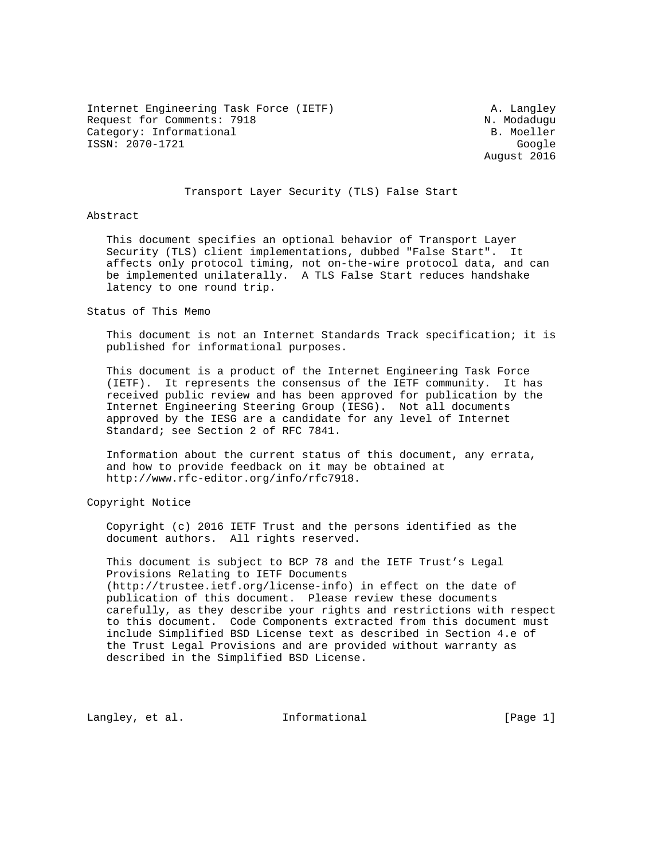Internet Engineering Task Force (IETF) A. Langley Request for Comments: 7918 N. Modaduqu Category: Informational and B. Moeller ISSN: 2070-1721 Google

August 2016

#### Transport Layer Security (TLS) False Start

Abstract

 This document specifies an optional behavior of Transport Layer Security (TLS) client implementations, dubbed "False Start". It affects only protocol timing, not on-the-wire protocol data, and can be implemented unilaterally. A TLS False Start reduces handshake latency to one round trip.

Status of This Memo

 This document is not an Internet Standards Track specification; it is published for informational purposes.

 This document is a product of the Internet Engineering Task Force (IETF). It represents the consensus of the IETF community. It has received public review and has been approved for publication by the Internet Engineering Steering Group (IESG). Not all documents approved by the IESG are a candidate for any level of Internet Standard; see Section 2 of RFC 7841.

 Information about the current status of this document, any errata, and how to provide feedback on it may be obtained at http://www.rfc-editor.org/info/rfc7918.

Copyright Notice

 Copyright (c) 2016 IETF Trust and the persons identified as the document authors. All rights reserved.

 This document is subject to BCP 78 and the IETF Trust's Legal Provisions Relating to IETF Documents (http://trustee.ietf.org/license-info) in effect on the date of publication of this document. Please review these documents carefully, as they describe your rights and restrictions with respect to this document. Code Components extracted from this document must include Simplified BSD License text as described in Section 4.e of the Trust Legal Provisions and are provided without warranty as described in the Simplified BSD License.

Langley, et al. 1nformational [Page 1]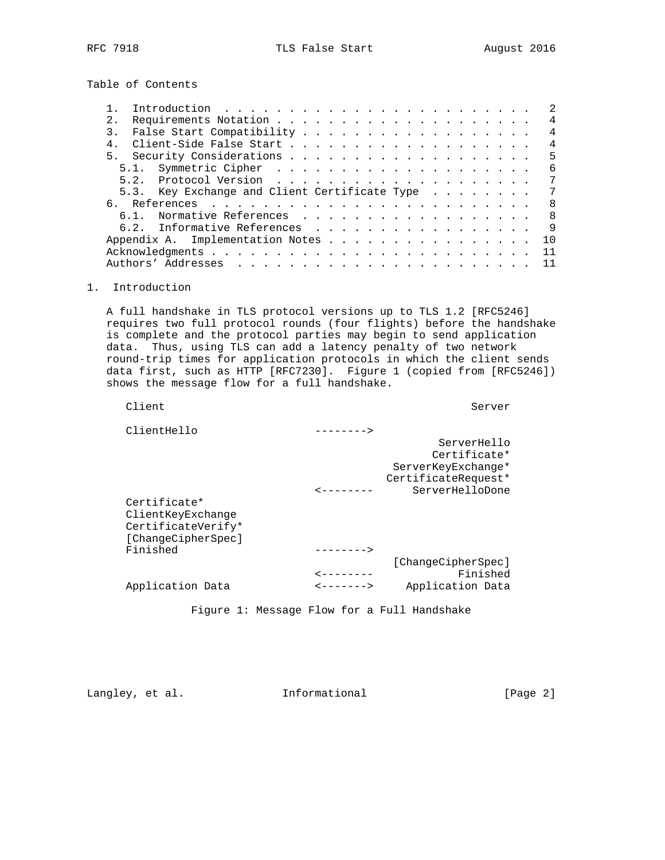Table of Contents

|    |      | Introduction $\ldots \ldots \ldots \ldots \ldots \ldots \ldots \ldots$ |  |  |  |  |  |  |  |  |  |  |  | 2.             |
|----|------|------------------------------------------------------------------------|--|--|--|--|--|--|--|--|--|--|--|----------------|
| 2. |      |                                                                        |  |  |  |  |  |  |  |  |  |  |  | $\overline{4}$ |
| 3. |      |                                                                        |  |  |  |  |  |  |  |  |  |  |  | 4              |
|    |      |                                                                        |  |  |  |  |  |  |  |  |  |  |  | $\overline{4}$ |
|    |      |                                                                        |  |  |  |  |  |  |  |  |  |  |  | 5              |
|    |      |                                                                        |  |  |  |  |  |  |  |  |  |  |  | 6              |
|    | 5.2. |                                                                        |  |  |  |  |  |  |  |  |  |  |  | 7              |
|    |      | 5.3. Key Exchange and Client Certificate Type                          |  |  |  |  |  |  |  |  |  |  |  | 7              |
|    |      |                                                                        |  |  |  |  |  |  |  |  |  |  |  | - 8            |
|    | 6 1  | Normative References                                                   |  |  |  |  |  |  |  |  |  |  |  | - 8            |
|    |      | 6.2. Informative References                                            |  |  |  |  |  |  |  |  |  |  |  | 9              |
|    |      | Appendix A. Implementation Notes                                       |  |  |  |  |  |  |  |  |  |  |  | 10             |
|    |      |                                                                        |  |  |  |  |  |  |  |  |  |  |  | 11             |
|    |      |                                                                        |  |  |  |  |  |  |  |  |  |  |  |                |
|    |      |                                                                        |  |  |  |  |  |  |  |  |  |  |  |                |

### 1. Introduction

 A full handshake in TLS protocol versions up to TLS 1.2 [RFC5246] requires two full protocol rounds (four flights) before the handshake is complete and the protocol parties may begin to send application data. Thus, using TLS can add a latency penalty of two network round-trip times for application protocols in which the client sends data first, such as HTTP [RFC7230]. Figure 1 (copied from [RFC5246]) shows the message flow for a full handshake.

|                                                                               |             | Server              |
|-------------------------------------------------------------------------------|-------------|---------------------|
|                                                                               | -------->   |                     |
|                                                                               |             | ServerHello         |
|                                                                               |             | Certificate*        |
|                                                                               |             | ServerKeyExchange*  |
|                                                                               |             | CertificateRequest* |
|                                                                               |             | ServerHelloDone     |
| Certificate*<br>ClientKeyExchange<br>CertificateVerify*<br>[ChangeCipherSpec] |             |                     |
|                                                                               |             |                     |
|                                                                               |             | [ChangeCipherSpec]  |
|                                                                               |             | Finished            |
| Application Data                                                              | $-------->$ | Application Data    |
|                                                                               |             |                     |

Figure 1: Message Flow for a Full Handshake

Langley, et al. 1nformational [Page 2]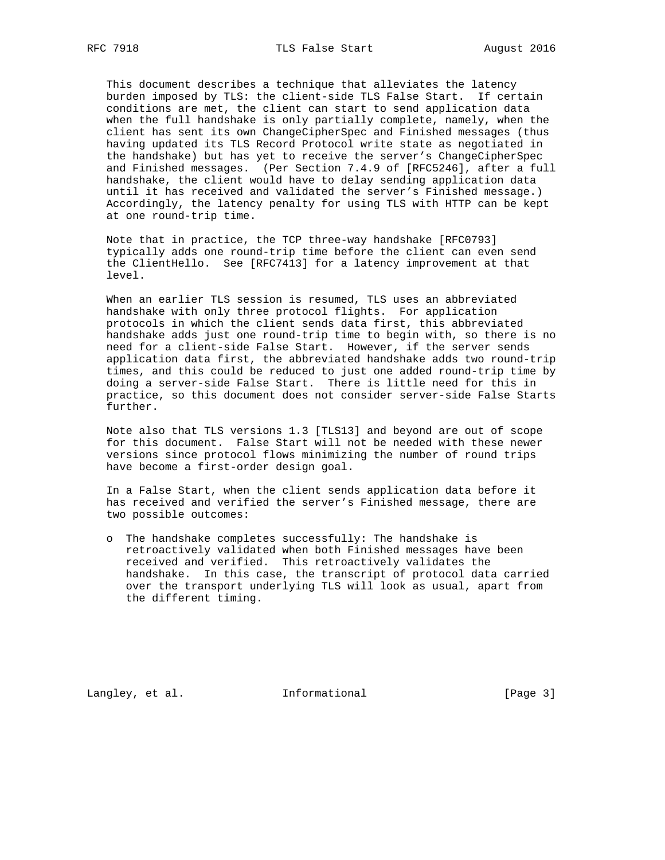This document describes a technique that alleviates the latency burden imposed by TLS: the client-side TLS False Start. If certain conditions are met, the client can start to send application data when the full handshake is only partially complete, namely, when the client has sent its own ChangeCipherSpec and Finished messages (thus having updated its TLS Record Protocol write state as negotiated in the handshake) but has yet to receive the server's ChangeCipherSpec and Finished messages. (Per Section 7.4.9 of [RFC5246], after a full handshake, the client would have to delay sending application data until it has received and validated the server's Finished message.) Accordingly, the latency penalty for using TLS with HTTP can be kept at one round-trip time.

 Note that in practice, the TCP three-way handshake [RFC0793] typically adds one round-trip time before the client can even send the ClientHello. See [RFC7413] for a latency improvement at that level.

 When an earlier TLS session is resumed, TLS uses an abbreviated handshake with only three protocol flights. For application protocols in which the client sends data first, this abbreviated handshake adds just one round-trip time to begin with, so there is no need for a client-side False Start. However, if the server sends application data first, the abbreviated handshake adds two round-trip times, and this could be reduced to just one added round-trip time by doing a server-side False Start. There is little need for this in practice, so this document does not consider server-side False Starts further.

 Note also that TLS versions 1.3 [TLS13] and beyond are out of scope for this document. False Start will not be needed with these newer versions since protocol flows minimizing the number of round trips have become a first-order design goal.

 In a False Start, when the client sends application data before it has received and verified the server's Finished message, there are two possible outcomes:

 o The handshake completes successfully: The handshake is retroactively validated when both Finished messages have been received and verified. This retroactively validates the handshake. In this case, the transcript of protocol data carried over the transport underlying TLS will look as usual, apart from the different timing.

Langley, et al. 1nformational [Page 3]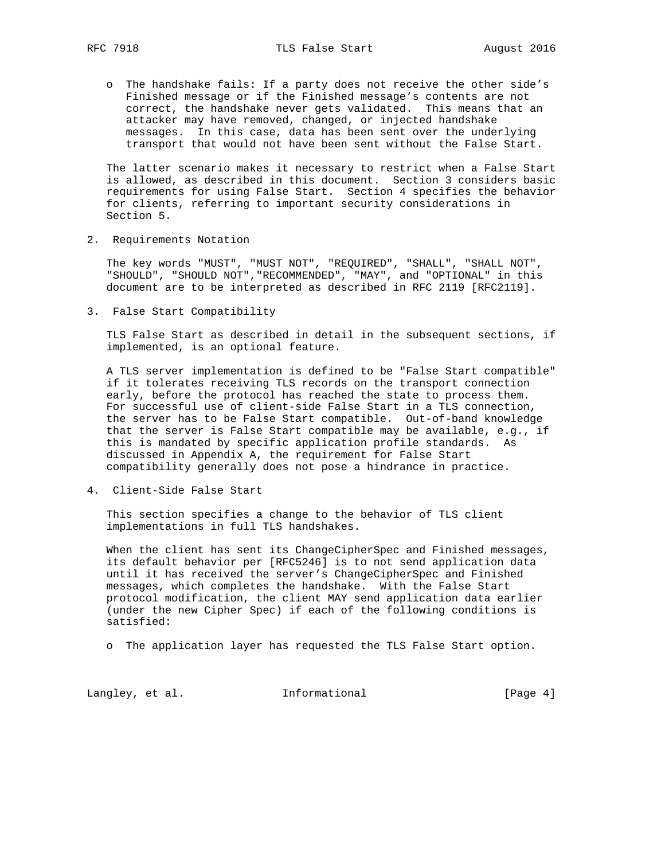o The handshake fails: If a party does not receive the other side's Finished message or if the Finished message's contents are not correct, the handshake never gets validated. This means that an attacker may have removed, changed, or injected handshake messages. In this case, data has been sent over the underlying transport that would not have been sent without the False Start.

 The latter scenario makes it necessary to restrict when a False Start is allowed, as described in this document. Section 3 considers basic requirements for using False Start. Section 4 specifies the behavior for clients, referring to important security considerations in Section 5.

2. Requirements Notation

 The key words "MUST", "MUST NOT", "REQUIRED", "SHALL", "SHALL NOT", "SHOULD", "SHOULD NOT","RECOMMENDED", "MAY", and "OPTIONAL" in this document are to be interpreted as described in RFC 2119 [RFC2119].

3. False Start Compatibility

 TLS False Start as described in detail in the subsequent sections, if implemented, is an optional feature.

 A TLS server implementation is defined to be "False Start compatible" if it tolerates receiving TLS records on the transport connection early, before the protocol has reached the state to process them. For successful use of client-side False Start in a TLS connection, the server has to be False Start compatible. Out-of-band knowledge that the server is False Start compatible may be available, e.g., if this is mandated by specific application profile standards. As discussed in Appendix A, the requirement for False Start compatibility generally does not pose a hindrance in practice.

4. Client-Side False Start

 This section specifies a change to the behavior of TLS client implementations in full TLS handshakes.

 When the client has sent its ChangeCipherSpec and Finished messages, its default behavior per [RFC5246] is to not send application data until it has received the server's ChangeCipherSpec and Finished messages, which completes the handshake. With the False Start protocol modification, the client MAY send application data earlier (under the new Cipher Spec) if each of the following conditions is satisfied:

o The application layer has requested the TLS False Start option.

Langley, et al. 1nformational [Page 4]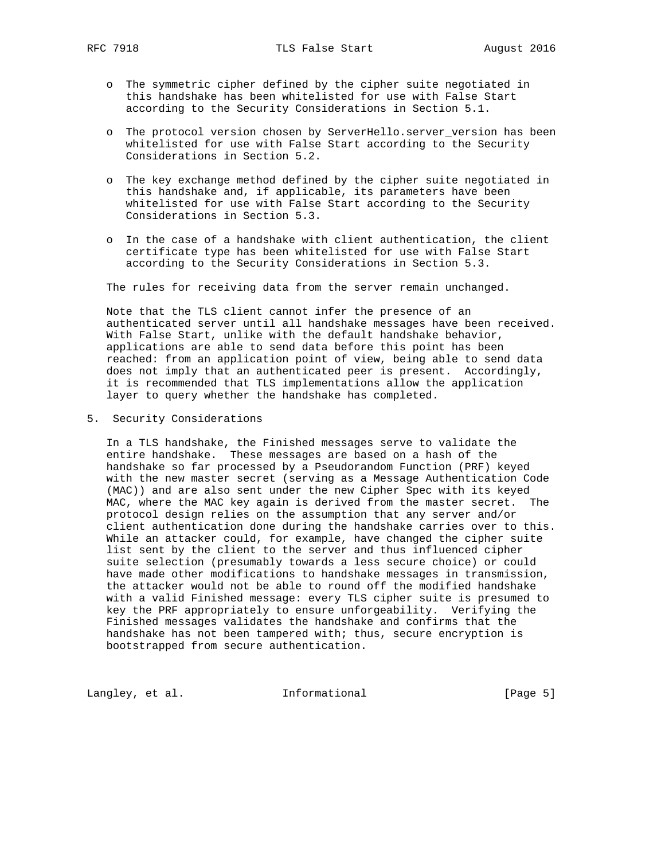- o The symmetric cipher defined by the cipher suite negotiated in this handshake has been whitelisted for use with False Start according to the Security Considerations in Section 5.1.
- o The protocol version chosen by ServerHello.server\_version has been whitelisted for use with False Start according to the Security Considerations in Section 5.2.
- o The key exchange method defined by the cipher suite negotiated in this handshake and, if applicable, its parameters have been whitelisted for use with False Start according to the Security Considerations in Section 5.3.
- o In the case of a handshake with client authentication, the client certificate type has been whitelisted for use with False Start according to the Security Considerations in Section 5.3.

The rules for receiving data from the server remain unchanged.

 Note that the TLS client cannot infer the presence of an authenticated server until all handshake messages have been received. With False Start, unlike with the default handshake behavior, applications are able to send data before this point has been reached: from an application point of view, being able to send data does not imply that an authenticated peer is present. Accordingly, it is recommended that TLS implementations allow the application layer to query whether the handshake has completed.

5. Security Considerations

 In a TLS handshake, the Finished messages serve to validate the entire handshake. These messages are based on a hash of the handshake so far processed by a Pseudorandom Function (PRF) keyed with the new master secret (serving as a Message Authentication Code (MAC)) and are also sent under the new Cipher Spec with its keyed MAC, where the MAC key again is derived from the master secret. The protocol design relies on the assumption that any server and/or client authentication done during the handshake carries over to this. While an attacker could, for example, have changed the cipher suite list sent by the client to the server and thus influenced cipher suite selection (presumably towards a less secure choice) or could have made other modifications to handshake messages in transmission, the attacker would not be able to round off the modified handshake with a valid Finished message: every TLS cipher suite is presumed to key the PRF appropriately to ensure unforgeability. Verifying the Finished messages validates the handshake and confirms that the handshake has not been tampered with; thus, secure encryption is bootstrapped from secure authentication.

Langley, et al. 1nformational 1999 [Page 5]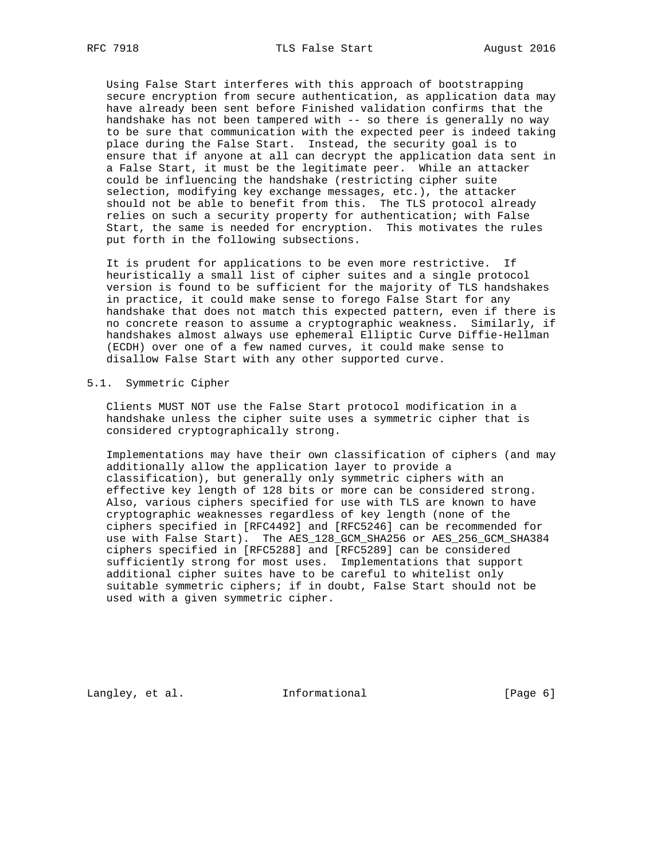Using False Start interferes with this approach of bootstrapping secure encryption from secure authentication, as application data may have already been sent before Finished validation confirms that the handshake has not been tampered with -- so there is generally no way to be sure that communication with the expected peer is indeed taking place during the False Start. Instead, the security goal is to ensure that if anyone at all can decrypt the application data sent in a False Start, it must be the legitimate peer. While an attacker could be influencing the handshake (restricting cipher suite selection, modifying key exchange messages, etc.), the attacker should not be able to benefit from this. The TLS protocol already relies on such a security property for authentication; with False Start, the same is needed for encryption. This motivates the rules put forth in the following subsections.

 It is prudent for applications to be even more restrictive. If heuristically a small list of cipher suites and a single protocol version is found to be sufficient for the majority of TLS handshakes in practice, it could make sense to forego False Start for any handshake that does not match this expected pattern, even if there is no concrete reason to assume a cryptographic weakness. Similarly, if handshakes almost always use ephemeral Elliptic Curve Diffie-Hellman (ECDH) over one of a few named curves, it could make sense to disallow False Start with any other supported curve.

#### 5.1. Symmetric Cipher

 Clients MUST NOT use the False Start protocol modification in a handshake unless the cipher suite uses a symmetric cipher that is considered cryptographically strong.

 Implementations may have their own classification of ciphers (and may additionally allow the application layer to provide a classification), but generally only symmetric ciphers with an effective key length of 128 bits or more can be considered strong. Also, various ciphers specified for use with TLS are known to have cryptographic weaknesses regardless of key length (none of the ciphers specified in [RFC4492] and [RFC5246] can be recommended for use with False Start). The AES\_128\_GCM\_SHA256 or AES\_256\_GCM\_SHA384 ciphers specified in [RFC5288] and [RFC5289] can be considered sufficiently strong for most uses. Implementations that support additional cipher suites have to be careful to whitelist only suitable symmetric ciphers; if in doubt, False Start should not be used with a given symmetric cipher.

Langley, et al. 1nformational [Page 6]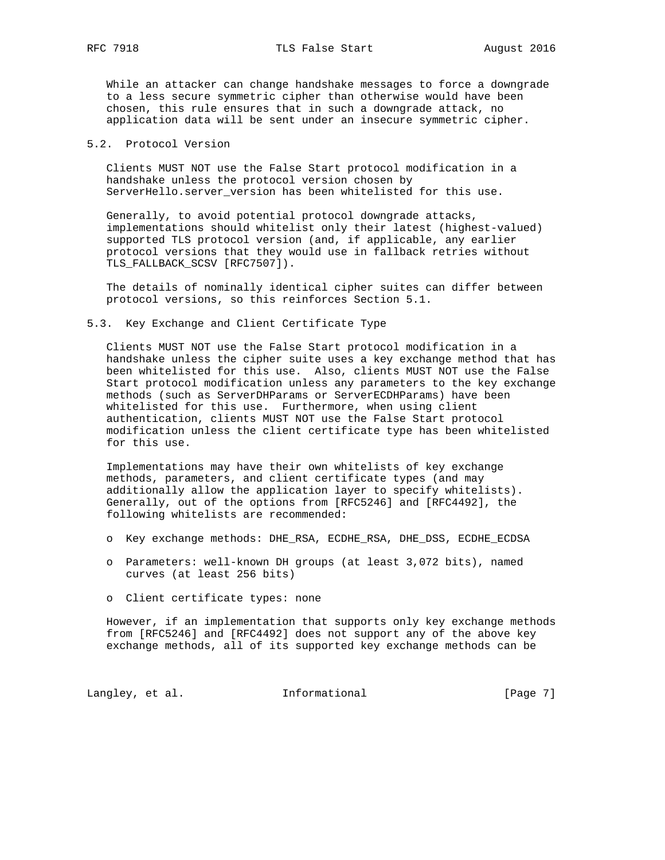RFC 7918 **TLS False Start** August 2016

 While an attacker can change handshake messages to force a downgrade to a less secure symmetric cipher than otherwise would have been chosen, this rule ensures that in such a downgrade attack, no application data will be sent under an insecure symmetric cipher.

### 5.2. Protocol Version

 Clients MUST NOT use the False Start protocol modification in a handshake unless the protocol version chosen by ServerHello.server version has been whitelisted for this use.

 Generally, to avoid potential protocol downgrade attacks, implementations should whitelist only their latest (highest-valued) supported TLS protocol version (and, if applicable, any earlier protocol versions that they would use in fallback retries without TLS FALLBACK SCSV [RFC7507]).

 The details of nominally identical cipher suites can differ between protocol versions, so this reinforces Section 5.1.

#### 5.3. Key Exchange and Client Certificate Type

 Clients MUST NOT use the False Start protocol modification in a handshake unless the cipher suite uses a key exchange method that has been whitelisted for this use. Also, clients MUST NOT use the False Start protocol modification unless any parameters to the key exchange methods (such as ServerDHParams or ServerECDHParams) have been whitelisted for this use. Furthermore, when using client authentication, clients MUST NOT use the False Start protocol modification unless the client certificate type has been whitelisted for this use.

 Implementations may have their own whitelists of key exchange methods, parameters, and client certificate types (and may additionally allow the application layer to specify whitelists). Generally, out of the options from [RFC5246] and [RFC4492], the following whitelists are recommended:

- o Key exchange methods: DHE\_RSA, ECDHE\_RSA, DHE\_DSS, ECDHE\_ECDSA
- o Parameters: well-known DH groups (at least 3,072 bits), named curves (at least 256 bits)
- o Client certificate types: none

 However, if an implementation that supports only key exchange methods from [RFC5246] and [RFC4492] does not support any of the above key exchange methods, all of its supported key exchange methods can be

Langley, et al. 1nformational [Page 7]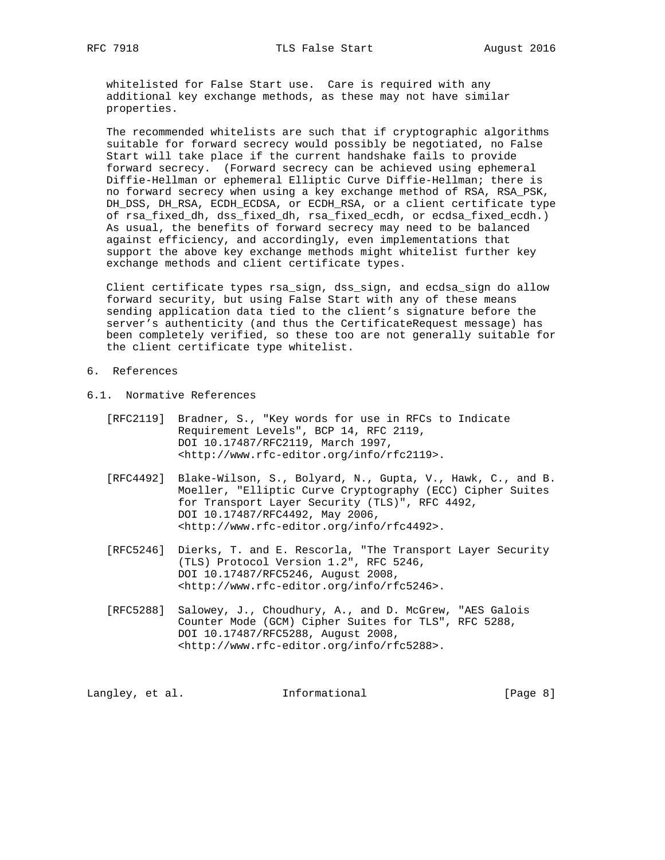whitelisted for False Start use. Care is required with any additional key exchange methods, as these may not have similar properties.

 The recommended whitelists are such that if cryptographic algorithms suitable for forward secrecy would possibly be negotiated, no False Start will take place if the current handshake fails to provide forward secrecy. (Forward secrecy can be achieved using ephemeral Diffie-Hellman or ephemeral Elliptic Curve Diffie-Hellman; there is no forward secrecy when using a key exchange method of RSA, RSA\_PSK, DH\_DSS, DH\_RSA, ECDH\_ECDSA, or ECDH\_RSA, or a client certificate type of rsa\_fixed\_dh, dss\_fixed\_dh, rsa\_fixed\_ecdh, or ecdsa\_fixed\_ecdh.) As usual, the benefits of forward secrecy may need to be balanced against efficiency, and accordingly, even implementations that support the above key exchange methods might whitelist further key exchange methods and client certificate types.

 Client certificate types rsa\_sign, dss\_sign, and ecdsa\_sign do allow forward security, but using False Start with any of these means sending application data tied to the client's signature before the server's authenticity (and thus the CertificateRequest message) has been completely verified, so these too are not generally suitable for the client certificate type whitelist.

- 6. References
- 6.1. Normative References
	- [RFC2119] Bradner, S., "Key words for use in RFCs to Indicate Requirement Levels", BCP 14, RFC 2119, DOI 10.17487/RFC2119, March 1997, <http://www.rfc-editor.org/info/rfc2119>.
	- [RFC4492] Blake-Wilson, S., Bolyard, N., Gupta, V., Hawk, C., and B. Moeller, "Elliptic Curve Cryptography (ECC) Cipher Suites for Transport Layer Security (TLS)", RFC 4492, DOI 10.17487/RFC4492, May 2006, <http://www.rfc-editor.org/info/rfc4492>.
- [RFC5246] Dierks, T. and E. Rescorla, "The Transport Layer Security (TLS) Protocol Version 1.2", RFC 5246, DOI 10.17487/RFC5246, August 2008, <http://www.rfc-editor.org/info/rfc5246>.
	- [RFC5288] Salowey, J., Choudhury, A., and D. McGrew, "AES Galois Counter Mode (GCM) Cipher Suites for TLS", RFC 5288, DOI 10.17487/RFC5288, August 2008, <http://www.rfc-editor.org/info/rfc5288>.

Langley, et al. **Informational** [Page 8]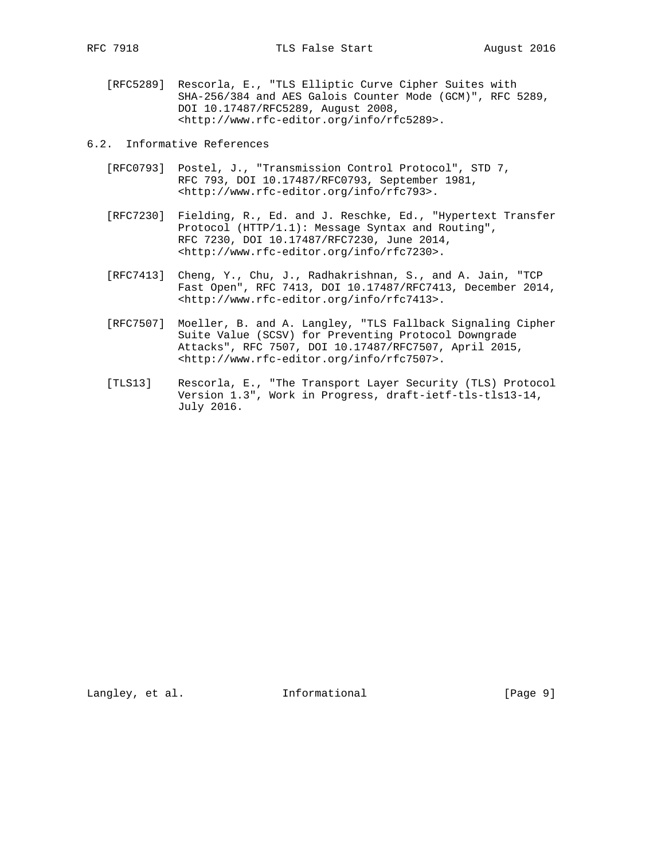- [RFC5289] Rescorla, E., "TLS Elliptic Curve Cipher Suites with SHA-256/384 and AES Galois Counter Mode (GCM)", RFC 5289, DOI 10.17487/RFC5289, August 2008, <http://www.rfc-editor.org/info/rfc5289>.
- 6.2. Informative References
	- [RFC0793] Postel, J., "Transmission Control Protocol", STD 7, RFC 793, DOI 10.17487/RFC0793, September 1981, <http://www.rfc-editor.org/info/rfc793>.
	- [RFC7230] Fielding, R., Ed. and J. Reschke, Ed., "Hypertext Transfer Protocol (HTTP/1.1): Message Syntax and Routing", RFC 7230, DOI 10.17487/RFC7230, June 2014, <http://www.rfc-editor.org/info/rfc7230>.
	- [RFC7413] Cheng, Y., Chu, J., Radhakrishnan, S., and A. Jain, "TCP Fast Open", RFC 7413, DOI 10.17487/RFC7413, December 2014, <http://www.rfc-editor.org/info/rfc7413>.
	- [RFC7507] Moeller, B. and A. Langley, "TLS Fallback Signaling Cipher Suite Value (SCSV) for Preventing Protocol Downgrade Attacks", RFC 7507, DOI 10.17487/RFC7507, April 2015, <http://www.rfc-editor.org/info/rfc7507>.
	- [TLS13] Rescorla, E., "The Transport Layer Security (TLS) Protocol Version 1.3", Work in Progress, draft-ietf-tls-tls13-14, July 2016.

Langley, et al. 1nformational [Page 9]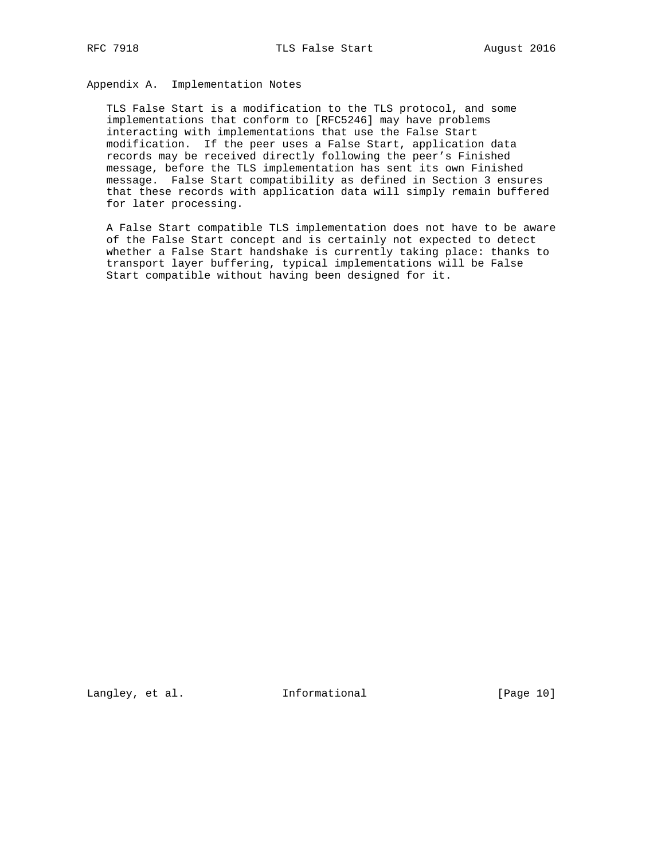# Appendix A. Implementation Notes

 TLS False Start is a modification to the TLS protocol, and some implementations that conform to [RFC5246] may have problems interacting with implementations that use the False Start modification. If the peer uses a False Start, application data records may be received directly following the peer's Finished message, before the TLS implementation has sent its own Finished message. False Start compatibility as defined in Section 3 ensures that these records with application data will simply remain buffered for later processing.

 A False Start compatible TLS implementation does not have to be aware of the False Start concept and is certainly not expected to detect whether a False Start handshake is currently taking place: thanks to transport layer buffering, typical implementations will be False Start compatible without having been designed for it.